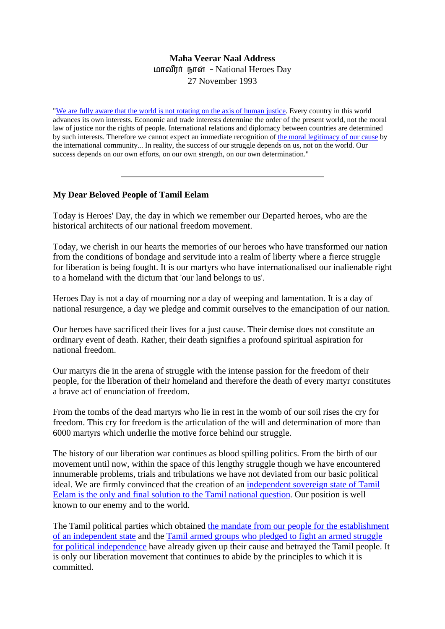## **Maha Veerar Naal Address**  மாவீரர் நாள் - National Heroes Day 27 November 1993

"[We are fully aware that the world is not rotating on the axis of human justice](http://www.tamilnation.org/intframe/tamileelam/index.htm). Every country in this world advances its own interests. Economic and trade interests determine the order of the present world, not the moral law of justice nor the rights of people. International relations and diplomacy between countries are determined by such interests. Therefore we cannot expect an immediate recognition of [the moral legitimacy of our cause](http://www.tamilnation.org/selfdetermination/tamileelam/7504sjvstatement.htm) by the international community... In reality, the success of our struggle depends on us, not on the world. Our success depends on our own efforts, on our own strength, on our own determination."

## **My Dear Beloved People of Tamil Eelam**

Today is Heroes' Day, the day in which we remember our Departed heroes, who are the historical architects of our national freedom movement.

Today, we cherish in our hearts the memories of our heroes who have transformed our nation from the conditions of bondage and servitude into a realm of liberty where a fierce struggle for liberation is being fought. It is our martyrs who have internationalised our inalienable right to a homeland with the dictum that 'our land belongs to us'.

Heroes Day is not a day of mourning nor a day of weeping and lamentation. It is a day of national resurgence, a day we pledge and commit ourselves to the emancipation of our nation.

Our heroes have sacrificed their lives for a just cause. Their demise does not constitute an ordinary event of death. Rather, their death signifies a profound spiritual aspiration for national freedom.

Our martyrs die in the arena of struggle with the intense passion for the freedom of their people, for the liberation of their homeland and therefore the death of every martyr constitutes a brave act of enunciation of freedom.

From the tombs of the dead martyrs who lie in rest in the womb of our soil rises the cry for freedom. This cry for freedom is the articulation of the will and determination of more than 6000 martyrs which underlie the motive force behind our struggle.

The history of our liberation war continues as blood spilling politics. From the birth of our movement until now, within the space of this lengthy struggle though we have encountered innumerable problems, trials and tribulations we have not deviated from our basic political ideal. We are firmly convinced that the creation of an [independent sovereign state of Tamil](http://www.tamilnation.org/selfdetermination/tamileelam/index.htm)  [Eelam is the only and final solution to the Tamil national question.](http://www.tamilnation.org/selfdetermination/tamileelam/index.htm) Our position is well known to our enemy and to the world.

The Tamil political parties which obtained the mandate from our people for the establishment [of an independent state](http://www.tamilnation.org/selfdetermination/tamileelam/7707tulfmanifesto.htm) and the [Tamil armed groups who pledged to fight an armed struggle](http://www.tamilnation.org/conflictresolution/tamileelam/85thimpu/thimpu10.htm)  [for political independence](http://www.tamilnation.org/conflictresolution/tamileelam/85thimpu/thimpu10.htm) have already given up their cause and betrayed the Tamil people. It is only our liberation movement that continues to abide by the principles to which it is committed.